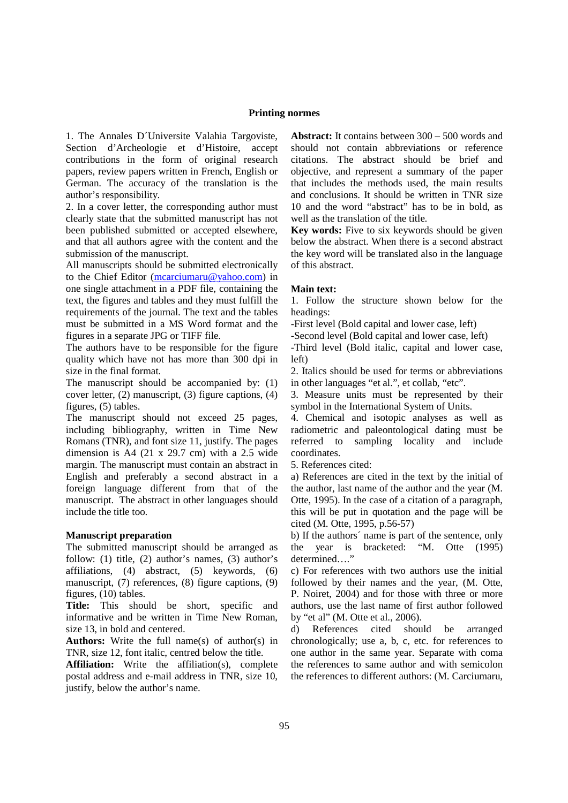## **Printing normes**

1. The Annales D´Universite Valahia Targoviste, Section d'Archeologie et d'Histoire, accept contributions in the form of original research papers, review papers written in French, English or German. The accuracy of the translation is the author's responsibility.

2. In a cover letter, the corresponding author must clearly state that the submitted manuscript has not been published submitted or accepted elsewhere, and that all authors agree with the content and the submission of the manuscript.

All manuscripts should be submitted electronically to the Chief Editor (mcarciumaru@yahoo.com) in one single attachment in a PDF file, containing the text, the figures and tables and they must fulfill the requirements of the journal. The text and the tables must be submitted in a MS Word format and the figures in a separate JPG or TIFF file.

The authors have to be responsible for the figure quality which have not has more than 300 dpi in size in the final format.

The manuscript should be accompanied by: (1) cover letter, (2) manuscript, (3) figure captions, (4) figures, (5) tables.

The manuscript should not exceed 25 pages, including bibliography, written in Time New Romans (TNR), and font size 11, justify. The pages dimension is A4 (21 x 29.7 cm) with a 2.5 wide margin. The manuscript must contain an abstract in English and preferably a second abstract in a foreign language different from that of the manuscript.The abstract in other languages should include the title too.

## **Manuscript preparation**

The submitted manuscript should be arranged as follow: (1) title, (2) author's names, (3) author's affiliations, (4) abstract, (5) keywords, (6) manuscript, (7) references, (8) figure captions, (9) figures, (10) tables.

**Title:** This should be short, specific and informative and be written in Time New Roman, size 13, in bold and centered.

**Authors:** Write the full name(s) of author(s) in TNR, size 12, font italic, centred below the title.

**Affiliation:** Write the affiliation(s), complete postal address and e-mail address in TNR, size 10, justify, below the author's name.

**Abstract:** It contains between 300 – 500 words and should not contain abbreviations or reference citations. The abstract should be brief and objective, and represent a summary of the paper that includes the methods used, the main results and conclusions. It should be written in TNR size 10 and the word "abstract" has to be in bold, as well as the translation of the title.

**Key words:** Five to six keywords should be given below the abstract. When there is a second abstract the key word will be translated also in the language of this abstract.

## **Main text:**

1. Follow the structure shown below for the headings:

-First level (Bold capital and lower case, left)

-Second level (Bold capital and lower case, left)

-Third level (Bold italic, capital and lower case, left)

2. Italics should be used for terms or abbreviations in other languages "et al.", et collab, "etc".

3. Measure units must be represented by their symbol in the International System of Units.

4. Chemical and isotopic analyses as well as radiometric and paleontological dating must be referred to sampling locality and include coordinates.

5. References cited:

a) References are cited in the text by the initial of the author, last name of the author and the year (M. Otte, 1995). In the case of a citation of a paragraph, this will be put in quotation and the page will be cited (M. Otte, 1995, p.56-57)

b) If the authors´ name is part of the sentence, only the year is bracketed: "M. Otte (1995) determined…."

c) For references with two authors use the initial followed by their names and the year, (M. Otte, P. Noiret, 2004) and for those with three or more authors, use the last name of first author followed by "et al" (M. Otte et al., 2006).

d) References cited should be arranged chronologically; use a, b, c, etc. for references to one author in the same year. Separate with coma the references to same author and with semicolon the references to different authors: (M. Carciumaru,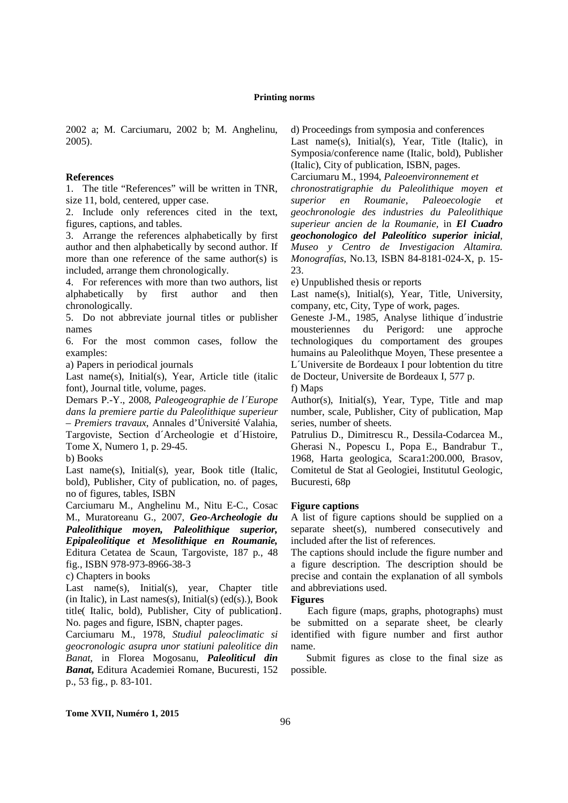### **Printing norms**

2002 a; M. Carciumaru, 2002 b; M. Anghelinu, 2005).

### **References**

1. The title "References" will be written in TNR, size 11, bold, centered, upper case.

2. Include only references cited in the text, figures, captions, and tables.

3. Arrange the references alphabetically by first author and then alphabetically by second author. If more than one reference of the same author(s) is included, arrange them chronologically.

4. For references with more than two authors, list alphabetically by first author and then chronologically.

5. Do not abbreviate journal titles or publisher names

6. For the most common cases, follow the examples:

a) Papers in periodical journals

Last name(s), Initial(s), Year, Article title (italic font), Journal title, volume, pages.

Demars P.-Y., 2008, *Paleogeographie de l´Europe dans la premiere partie du Paleolithique superieur – Premiers travaux*, Annales d'Úniversité Valahia, Targoviste, Section d´Archeologie et d´Histoire, Tome X, Numero 1, p. 29-45.

b) Books

Last name(s), Initial(s), year, Book title (Italic, bold), Publisher, City of publication, no. of pages, no of figures, tables, ISBN

Carciumaru M., Anghelinu M., Nitu E-C., Cosac M., Muratoreanu G., 2007, *Geo-Archeologie du Paleolithique moyen, Paleolithique superior, Epipaleolitique et Mesolithique en Roumanie,* Editura Cetatea de Scaun, Targoviste, 187 p., 48 fig., ISBN 978-973-8966-38-3

c) Chapters in books

Last name(s), Initial(s), year, Chapter title  $(in Italic), in Last names(s), Initial(s) (ed(s.), Book)$ title(Italic, bold), Publisher, City of publication. No. pages and figure, ISBN, chapter pages.

Carciumaru M., 1978, *Studiul paleoclimatic si geocronologic asupra unor statiuni paleolitice din Banat,* in Florea Mogosanu, *Paleoliticul din Banat***,** Editura Academiei Romane, Bucuresti, 152 p., 53 fig., p. 83-101.

d) Proceedings from symposia and conferences Last name(s), Initial(s), Year, Title (Italic), in Symposia/conference name (Italic, bold), Publisher (Italic), City of publication, ISBN, pages.

Carciumaru M., 1994, *Paleoenvironnement et*

*chronostratigraphie du Paleolithique moyen et superior en Roumanie, Paleoecologie et geochronologie des industries du Paleolithique superieur ancien de la Roumanie,* in *El Cuadro geochonologico del Paleolítico superior inicial*, *Museo y Centro de Investigacion Altamira. Monografías*, No.13, ISBN 84-8181-024-X, p. 15- 23.

e) Unpublished thesis or reports

Last name(s), Initial(s), Year, Title, University, company, etc, City, Type of work, pages.

Geneste J-M., 1985, Analyse lithique d´industrie mousteriennes du Perigord: une approche technologiques du comportament des groupes humains au Paleolithque Moyen, These presentee a L´Universite de Bordeaux I pour lobtention du titre de Docteur, Universite de Bordeaux I, 577 p. f) Maps

Author(s), Initial(s), Year, Type, Title and map number, scale, Publisher, City of publication, Map series, number of sheets.

Patrulius D., Dimitrescu R., Dessila-Codarcea M., Gherasi N., Popescu I., Popa E., Bandrabur T., 1968, Harta geologica, Scara1:200.000, Brasov, Comitetul de Stat al Geologiei, Institutul Geologic, Bucuresti, 68p

## **Figure captions**

A list of figure captions should be supplied on a separate sheet(s), numbered consecutively and included after the list of references.

The captions should include the figure number and a figure description. The description should be precise and contain the explanation of all symbols and abbreviations used.

# **Figures**

Each figure (maps, graphs, photographs) must be submitted on a separate sheet, be clearly identified with figure number and first author name.

 Submit figures as close to the final size as possible.